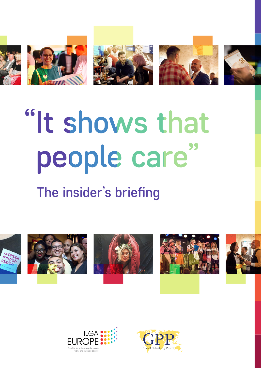







# "It shows that people care"

# The insider's briefing













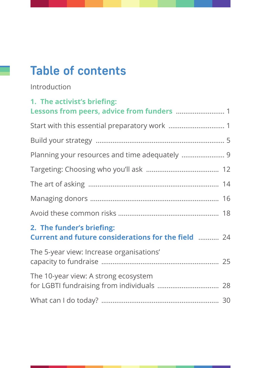# **Table of contents**

Introduction

| 1. The activist's briefing:                                                             |  |
|-----------------------------------------------------------------------------------------|--|
|                                                                                         |  |
|                                                                                         |  |
|                                                                                         |  |
|                                                                                         |  |
|                                                                                         |  |
|                                                                                         |  |
|                                                                                         |  |
|                                                                                         |  |
| 2. The funder's briefing:<br><b>Current and future considerations for the field  24</b> |  |
| The 5-year view: Increase organisations'                                                |  |
| The 10-year view: A strong ecosystem                                                    |  |
|                                                                                         |  |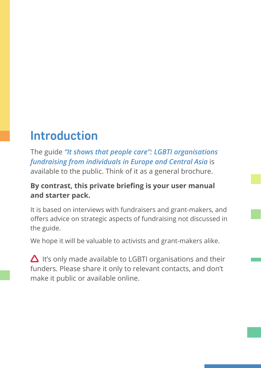# <span id="page-2-0"></span>**Introduction**

The guide *"It shows that people care": LGBTI organisations fundraising from individuals in Europe and Central Asia* is available to the public. Think of it as a general brochure.

## **By contrast, this private briefing is your user manual and starter pack.**

It is based on interviews with fundraisers and grant-makers, and offers advice on strategic aspects of fundraising not discussed in the guide.

We hope it will be valuable to activists and grant-makers alike.

 $\Delta$  It's only made available to LGBTI organisations and their funders. Please share it only to relevant contacts, and don't make it public or available online.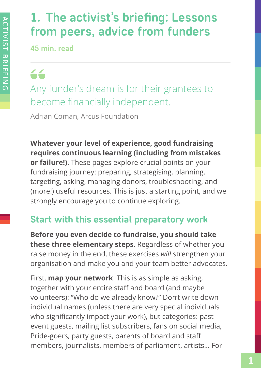# <span id="page-3-0"></span>**1. The activist's briefing: Lessons from peers, advice from funders**

**45 min. read**

66 Any funder's dream is for their grantees to become financially independent.

Adrian Coman, Arcus Foundation

**Whatever your level of experience, good fundraising requires continuous learning (including from mistakes or failure!)**. These pages explore crucial points on your fundraising journey: preparing, strategising, planning, targeting, asking, managing donors, troubleshooting, and (more!) useful resources. This is just a starting point, and we strongly encourage you to continue exploring.

# **Start with this essential preparatory work**

**Before you even decide to fundraise, you should take these three elementary steps**. Regardless of whether you raise money in the end, these exercises *will* strengthen your organisation and make you and your team better advocates.

First, **map your network**. This is as simple as asking, together with your entire staff and board (and maybe volunteers): "Who do we already know?" Don't write down individual names (unless there are very special individuals who significantly impact your work), but categories: past event guests, mailing list subscribers, fans on social media, Pride‑goers, party guests, parents of board and staff members, journalists, members of parliament, artists… For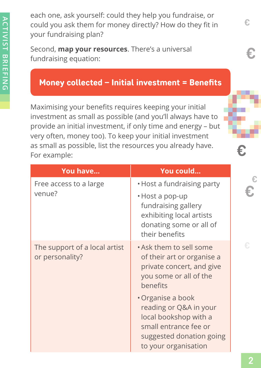each one, ask yourself: could they help you fundraise, or could you ask them for money directly? How do they fit in your fundraising plan?

Second, **map your resources**. There's a universal fundraising equation:

# Money collected – Initial investment = Benefits

Maximising your benefits requires keeping your initial investment as small as possible (and you'll always have to provide an initial investment, if only time and energy – but very often, money too). To keep your initial investment as small as possible, list the resources you already have. For example:

| You have                                         | You could                                                                                                                                         |
|--------------------------------------------------|---------------------------------------------------------------------------------------------------------------------------------------------------|
| Free access to a large<br>venue?                 | • Host a fundraising party<br>• Host a pop-up<br>fundraising gallery<br>exhibiting local artists<br>donating some or all of<br>their benefits     |
| The support of a local artist<br>or personality? | • Ask them to sell some<br>of their art or organise a<br>private concert, and give<br>you some or all of the<br>benefits                          |
|                                                  | • Organise a book<br>reading or Q&A in your<br>local bookshop with a<br>small entrance fee or<br>suggested donation going<br>to your organisation |

€.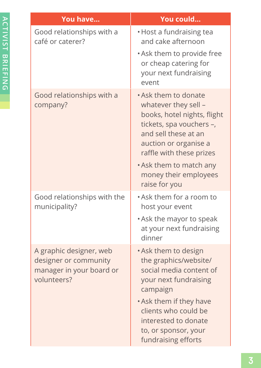| You have                                                                                    | You could                                                                                                                                                                                                                                                 |
|---------------------------------------------------------------------------------------------|-----------------------------------------------------------------------------------------------------------------------------------------------------------------------------------------------------------------------------------------------------------|
| Good relationships with a<br>café or caterer?                                               | • Host a fundraising tea<br>and cake afternoon                                                                                                                                                                                                            |
|                                                                                             | • Ask them to provide free<br>or cheap catering for<br>your next fundraising<br>event                                                                                                                                                                     |
| Good relationships with a<br>company?                                                       | • Ask them to donate<br>whatever they sell -<br>books, hotel nights, flight<br>tickets, spa vouchers -,<br>and sell these at an<br>auction or organise a<br>raffle with these prizes<br>• Ask them to match any<br>money their employees<br>raise for you |
| Good relationships with the<br>municipality?                                                | . Ask them for a room to<br>host your event<br>• Ask the mayor to speak<br>at your next fundraising<br>dinner                                                                                                                                             |
| A graphic designer, web<br>designer or community<br>manager in your board or<br>volunteers? | • Ask them to design<br>the graphics/website/<br>social media content of<br>your next fundraising<br>campaign<br>• Ask them if they have<br>clients who could be<br>interested to donate<br>to, or sponsor, your<br>fundraising efforts                   |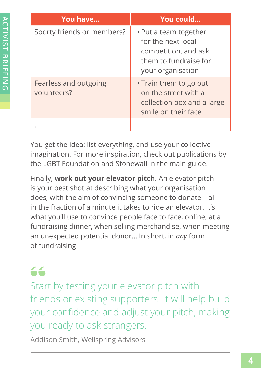| You have                             | You could                                                                                                         |
|--------------------------------------|-------------------------------------------------------------------------------------------------------------------|
| Sporty friends or members?           | • Put a team together<br>for the next local<br>competition, and ask<br>them to fundraise for<br>your organisation |
| Fearless and outgoing<br>volunteers? | • Train them to go out<br>on the street with a<br>collection box and a large<br>smile on their face               |
|                                      |                                                                                                                   |

You get the idea: list everything, and use your collective imagination. For more inspiration, check out publications by the LGBT Foundation and Stonewall in the main guide.

Finally, **work out your elevator pitch**. An elevator pitch is your best shot at describing what your organisation does, with the aim of convincing someone to donate – all in the fraction of a minute it takes to ride an elevator. It's what you'll use to convince people face to face, online, at a fundraising dinner, when selling merchandise, when meeting an unexpected potential donor… In short, in *any* form of fundraising.

# 66

Start by testing your elevator pitch with friends or existing supporters. It will help build your confidence and adjust your pitch, making you ready to ask strangers.

Addison Smith, Wellspring Advisors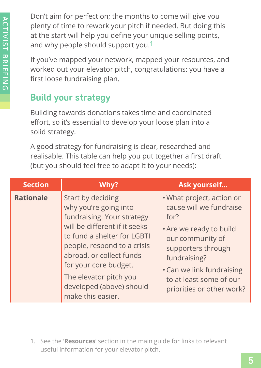<span id="page-7-0"></span>Don't aim for perfection; the months to come will give you plenty of time to rework your pitch if needed. But doing this at the start will help you define your unique selling points, and why people should support you.**1**

If you've mapped your network, mapped your resources, and worked out your elevator pitch, congratulations: you have a first loose fundraising plan.

# **Build your strategy**

Building towards donations takes time and coordinated effort, so it's essential to develop your loose plan into a solid strategy.

A good strategy for fundraising is clear, researched and realisable. This table can help you put together a first draft (but you should feel free to adapt it to your needs):

| <b>Section</b>   | Why?                                                                                                                                                                                                                                                                                                    | Ask yourself                                                                                                                                                                                                                           |
|------------------|---------------------------------------------------------------------------------------------------------------------------------------------------------------------------------------------------------------------------------------------------------------------------------------------------------|----------------------------------------------------------------------------------------------------------------------------------------------------------------------------------------------------------------------------------------|
| <b>Rationale</b> | Start by deciding<br>why you're going into<br>fundraising. Your strategy<br>will be different if it seeks<br>to fund a shelter for LGBTI<br>people, respond to a crisis<br>abroad, or collect funds<br>for your core budget.<br>The elevator pitch you<br>developed (above) should<br>make this easier. | . What project, action or<br>cause will we fundraise<br>for?<br>• Are we ready to build<br>our community of<br>supporters through<br>fundraising?<br>• Can we link fundraising<br>to at least some of our<br>priorities or other work? |

<sup>1.</sup> See the '**Resources**' section in the main guide for links to relevant useful information for your elevator pitch.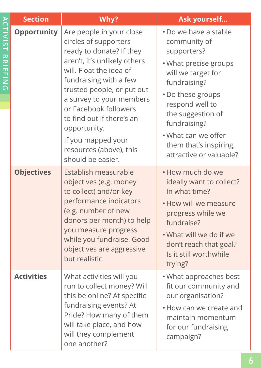| <b>Section</b>     | Why?                                                                                                                                                                                                                                                                                                                                                                     | Ask yourself                                                                                                                                                                                                                                                                 |
|--------------------|--------------------------------------------------------------------------------------------------------------------------------------------------------------------------------------------------------------------------------------------------------------------------------------------------------------------------------------------------------------------------|------------------------------------------------------------------------------------------------------------------------------------------------------------------------------------------------------------------------------------------------------------------------------|
| <b>Opportunity</b> | Are people in your close<br>circles of supporters<br>ready to donate? If they<br>aren't, it's unlikely others<br>will. Float the idea of<br>fundraising with a few<br>trusted people, or put out<br>a survey to your members<br>or Facebook followers<br>to find out if there's an<br>opportunity.<br>If you mapped your<br>resources (above), this<br>should be easier. | • Do we have a stable<br>community of<br>supporters?<br>• What precise groups<br>will we target for<br>fundraising?<br>• Do these groups<br>respond well to<br>the suggestion of<br>fundraising?<br>• What can we offer<br>them that's inspiring,<br>attractive or valuable? |
| <b>Objectives</b>  | Establish measurable<br>objectives (e.g. money<br>to collect) and/or key<br>performance indicators<br>(e.g. number of new<br>donors per month) to help<br>you measure progress<br>while you fundraise. Good<br>objectives are aggressive<br>but realistic.                                                                                                               | . How much do we<br>ideally want to collect?<br>In what time?<br>• How will we measure<br>progress while we<br>fundraise?<br>• What will we do if we<br>don't reach that goal?<br>Is it still worthwhile<br>trying?                                                          |
| <b>Activities</b>  | What activities will you<br>run to collect money? Will<br>this be online? At specific<br>fundraising events? At<br>Pride? How many of them<br>will take place, and how<br>will they complement<br>one another?                                                                                                                                                           | • What approaches best<br>fit our community and<br>our organisation?<br>• How can we create and<br>maintain momentum<br>for our fundraising<br>campaign?                                                                                                                     |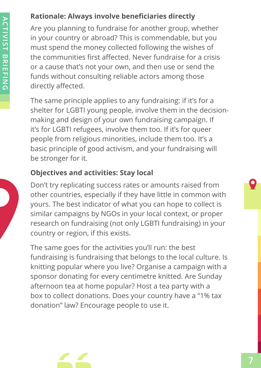# **Rationale: Always involve beneficiaries directly**

Are you planning to fundraise for another group, whether in your country or abroad? This is commendable, but you must spend the money collected following the wishes of the communities first affected. Never fundraise for a crisis or a cause that's not your own, and then use or send the funds without consulting reliable actors among those directly affected.

The same principle applies to any fundraising: if it's for a shelter for LGBTI young people, involve them in the decisionmaking and design of your own fundraising campaign. If it's for LGBTI refugees, involve them too. If it's for queer people from religious minorities, include them too. It's a basic principle of good activism, and your fundraising will be stronger for it.

#### **Objectives and activities: Stay local**

Don't try replicating success rates or amounts raised from other countries, especially if they have little in common with yours. The best indicator of what you can hope to collect is similar campaigns by NGOs in your local context, or proper research on fundraising (not only LGBTI fundraising) in your country or region, if this exists.

The same goes for the activities you'll run: the best fundraising is fundraising that belongs to the local culture. Is knitting popular where you live? Organise a campaign with a sponsor donating for every centimetre knitted. Are Sunday afternoon tea at home popular? Host a tea party with a box to collect donations. Does your country have a "1% tax donation" law? Encourage people to use it.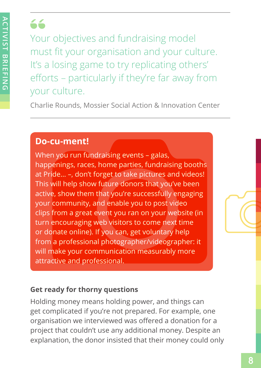# $f$

Your objectives and fundraising model must fit your organisation and your culture. It's a losing game to try replicating others' efforts – particularly if they're far away from your culture.

Charlie Rounds, Mossier Social Action & Innovation Center

# **Do-cu-ment!**

When you run fundraising events - galas, happenings, races, home parties, fundraising booths at Pride… –, don't forget to take pictures and videos! This will help show future donors that you've been active, show them that you're successfully engaging your community, and enable you to post video clips from a great event you ran on your website (in turn encouraging web visitors to come next time or donate online). If you can, get voluntary help from a professional photographer/videographer: it will make your communication measurably more attractive and professional.

# **Get ready for thorny questions**

Holding money means holding power, and things can get complicated if you're not prepared. For example, one organisation we interviewed was offered a donation for a project that couldn't use any additional money. Despite an explanation, the donor insisted that their money could only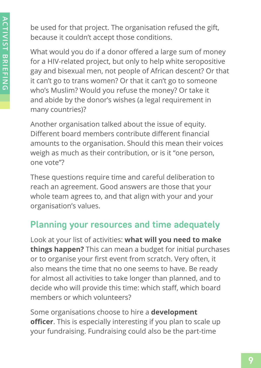<span id="page-11-0"></span>be used for that project. The organisation refused the gift, because it couldn't accept those conditions.

What would you do if a donor offered a large sum of money for a HIV-related project, but only to help white seropositive gay and bisexual men, not people of African descent? Or that it can't go to trans women? Or that it can't go to someone who's Muslim? Would you refuse the money? Or take it and abide by the donor's wishes (a legal requirement in many countries)?

Another organisation talked about the issue of equity. Different board members contribute different financial amounts to the organisation. Should this mean their voices weigh as much as their contribution, or is it "one person, one vote"?

These questions require time and careful deliberation to reach an agreement. Good answers are those that your whole team agrees to, and that align with your and your organisation's values.

# **Planning your resources and time adequately**

Look at your list of activities: **what will you need to make things happen?** This can mean a budget for initial purchases or to organise your first event from scratch. Very often, it also means the time that no one seems to have. Be ready for almost all activities to take longer than planned, and to decide who will provide this time: which staff, which board members or which volunteers?

Some organisations choose to hire a **development officer**. This is especially interesting if you plan to scale up your fundraising. Fundraising could also be the part-time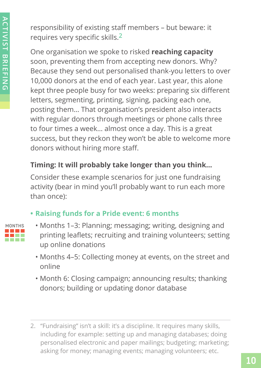responsibility of existing staff members – but beware: it requires very specific skills.**2**

One organisation we spoke to risked **reaching capacity** soon, preventing them from accepting new donors. Why? Because they send out personalised thank-you letters to over 10,000 donors at the end of each year. Last year, this alone kept three people busy for two weeks: preparing six different letters, segmenting, printing, signing, packing each one, posting them… That organisation's president also interacts with regular donors through meetings or phone calls three to four times a week… almost once a day. This is a great success, but they reckon they won't be able to welcome more donors without hiring more staff.

# **Timing: It will probably take longer than you think…**

Consider these example scenarios for just one fundraising activity (bear in mind you'll probably want to run each more than once):

# **• Raising funds for a Pride event: 6 months**

|  | <b>NTH</b> |  |
|--|------------|--|
|  |            |  |
|  |            |  |
|  |            |  |

- Months 1–3: Planning; messaging; writing, designing and printing leaflets; recruiting and training volunteers; setting up online donations
	- Months 4–5: Collecting money at events, on the street and online
- Month 6: Closing campaign; announcing results; thanking donors; building or updating donor database
- 2. "Fundraising" isn't a skill: it's a discipline. It requires many skills, including for example: setting up and managing databases; doing personalised electronic and paper mailings; budgeting; marketing; asking for money; managing events; managing volunteers; etc.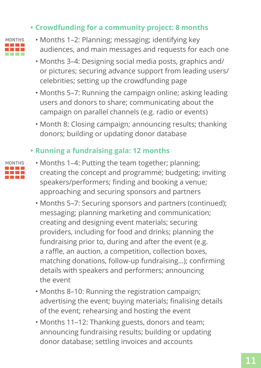## **• Crowdfunding for a community project: 8 months**



- Months 1–2: Planning; messaging; identifying key audiences, and main messages and requests for each one
- Months 3–4: Designing social media posts, graphics and/ or pictures; securing advance support from leading users/ celebrities; setting up the crowdfunding page
- Months 5–7: Running the campaign online; asking leading users and donors to share; communicating about the campaign on parallel channels (e.g. radio or events)
- Month 8: Closing campaign; announcing results; thanking donors; building or updating donor database

# **• Running a fundraising gala: 12 months**



- Months 1–4: Putting the team together; planning; creating the concept and programme; budgeting; inviting speakers/performers; finding and booking a venue; approaching and securing sponsors and partners
- Months 5–7: Securing sponsors and partners (continued); messaging; planning marketing and communication; creating and designing event materials; securing providers, including for food and drinks; planning the fundraising prior to, during and after the event (e.g. a raffle, an auction, a competition, collection boxes, matching donations, follow-up fundraising…); confirming details with speakers and performers; announcing the event
- Months 8–10: Running the registration campaign; advertising the event; buying materials; finalising details of the event; rehearsing and hosting the event
- Months 11–12: Thanking guests, donors and team; announcing fundraising results; building or updating donor database; settling invoices and accounts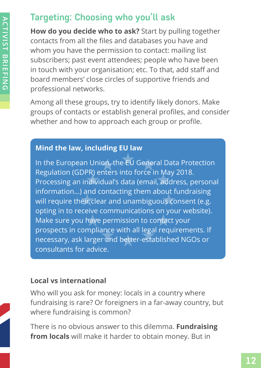# <span id="page-14-0"></span>**Targeting: Choosing who you'll ask**

**How do you decide who to ask?** Start by pulling together contacts from all the files and databases you have and whom you have the permission to contact: mailing list subscribers; past event attendees; people who have been in touch with your organisation; etc. To that, add staff and board members' close circles of supportive friends and professional networks.

Among all these groups, try to identify likely donors. Make groups of contacts or establish general profiles, and consider whether and how to approach each group or profile.

#### **Mind the law, including EU law**

In the European Union, the EU General Data Protection Regulation (GDPR) enters into force in May 2018. Processing an individual's data (email, address, personal information…) and contacting them about fundraising will require their clear and unambiguous consent (e.g. opting in to receive communications on your website). Make sure you have permission to contact your prospects in compliance with all legal requirements. If necessary, ask larger and better-established NGOs or consultants for advice.

#### **Local vs international**

Who will you ask for money: locals in a country where fundraising is rare? Or foreigners in a far-away country, but where fundraising is common?

There is no obvious answer to this dilemma. **Fundraising from locals** will make it harder to obtain money. But in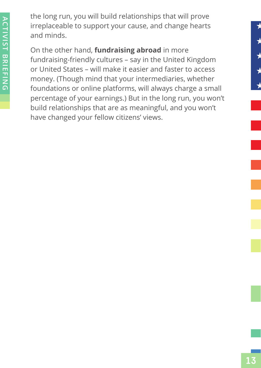the long run, you will build relationships that will prove irreplaceable to support your cause, and change hearts and minds.

On the other hand, **fundraising abroad** in more fundraising-friendly cultures – say in the United Kingdom or United States – will make it easier and faster to access money. (Though mind that your intermediaries, whether foundations or online platforms, will always charge a small percentage of your earnings.) But in the long run, you won't build relationships that are as meaningful, and you won't have changed your fellow citizens' views.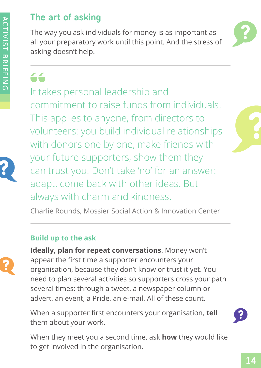# <span id="page-16-0"></span>**The art of asking**

The way you ask individuals for money is as important as all your preparatory work until this point. And the stress of asking doesn't help.



66

It takes personal leadership and commitment to raise funds from individuals. This applies to anyone, from directors to volunteers: you build individual relationships with donors one by one, make friends with your future supporters, show them they can trust you. Don't take 'no' for an answer: adapt, come back with other ideas. But always with charm and kindness.

Charlie Rounds, Mossier Social Action & Innovation Center

#### **Build up to the ask**



**Ideally, plan for repeat conversations**. Money won't appear the first time a supporter encounters your organisation, because they don't know or trust it yet. You need to plan several activities so supporters cross your path several times: through a tweet, a newspaper column or advert, an event, a Pride, an e-mail. All of these count.

When a supporter first encounters your organisation, **tell** them about your work.



When they meet you a second time, ask **how** they would like to get involved in the organisation.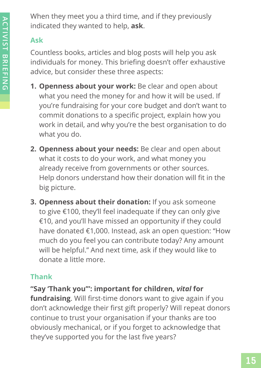When they meet you a third time, and if they previously indicated they wanted to help, **ask**.

# **Ask**

Countless books, articles and blog posts will help you ask individuals for money. This briefing doesn't offer exhaustive advice, but consider these three aspects:

- **1. Openness about your work:** Be clear and open about what you need the money for and how it will be used. If you're fundraising for your core budget and don't want to commit donations to a specific project, explain how you work in detail, and why you're the best organisation to do what you do.
- **2. Openness about your needs:** Be clear and open about what it costs to do your work, and what money you already receive from governments or other sources. Help donors understand how their donation will fit in the big picture.
- **3. Openness about their donation:** If you ask someone to give €100, they'll feel inadequate if they can only give €10, and you'll have missed an opportunity if they could have donated €1,000. Instead, ask an open question: "How much do you feel you can contribute today? Any amount will be helpful." And next time, ask if they would like to donate a little more.

# **Thank**

# **"Say 'Thank you'": important for children,** *vital* **for**

**fundraising**. Will first-time donors want to give again if you don't acknowledge their first gift properly? Will repeat donors continue to trust your organisation if your thanks are too obviously mechanical, or if you forget to acknowledge that they've supported you for the last five years?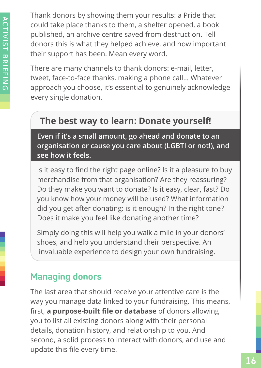<span id="page-18-0"></span>Thank donors by showing them your results: a Pride that could take place thanks to them, a shelter opened, a book published, an archive centre saved from destruction. Tell donors this is what they helped achieve, and how important their support has been. Mean every word.

There are many channels to thank donors: e-mail, letter, tweet, face-to-face thanks, making a phone call… Whatever approach you choose, it's essential to genuinely acknowledge every single donation.

# **The best way to learn: Donate yourself!**

**Even if it's a small amount, go ahead and donate to an organisation or cause you care about (LGBTI or not!), and see how it feels.**

Is it easy to find the right page online? Is it a pleasure to buy merchandise from that organisation? Are they reassuring? Do they make you want to donate? Is it easy, clear, fast? Do you know how your money will be used? What information did you get after donating: is it enough? In the right tone? Does it make you feel like donating another time?

Simply doing this will help you walk a mile in your donors' shoes, and help you understand their perspective. An invaluable experience to design your own fundraising.

# **Managing donors**

The last area that should receive your attentive care is the way you manage data linked to your fundraising. This means, first, **a purpose-built file or database** of donors allowing you to list all existing donors along with their personal details, donation history, and relationship to you. And second, a solid process to interact with donors, and use and update this file every time.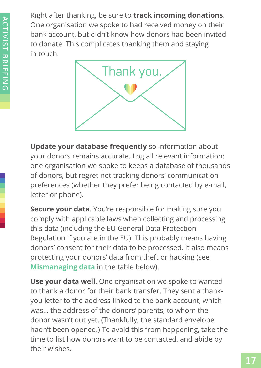Right after thanking, be sure to **track incoming donations**. One organisation we spoke to had received money on their bank account, but didn't know how donors had been invited to donate. This complicates thanking them and staying in touch.



**Update your database frequently** so information about your donors remains accurate. Log all relevant information: one organisation we spoke to keeps a database of thousands of donors, but regret not tracking donors' communication preferences (whether they prefer being contacted by e-mail, letter or phone).

**Secure your data**. You're responsible for making sure you comply with applicable laws when collecting and processing this data (including the EU General Data Protection Regulation if you are in the EU). This probably means having donors' consent for their data to be processed. It also means protecting your donors' data from theft or hacking (see **Mismanaging data** in the table below).

**Use your data well**. One organisation we spoke to wanted to thank a donor for their bank transfer. They sent a thankyou letter to the address linked to the bank account, which was… the address of the donors' parents, to whom the donor wasn't out yet. (Thankfully, the standard envelope hadn't been opened.) To avoid this from happening, take the time to list how donors want to be contacted, and abide by their wishes.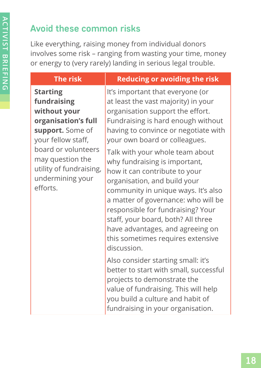# <span id="page-20-0"></span>**Avoid these common risks**

Like everything, raising money from individual donors involves some risk – ranging from wasting your time, money or energy to (very rarely) landing in serious legal trouble.

# **Starting fundraising without your organisation's full support.** Some of your fellow staff, board or volunteers may question the utility of fundraising, undermining your efforts.

# **The risk Reducing or avoiding the risk**

It's important that everyone (or at least the vast majority) in your organisation support the effort. Fundraising is hard enough without having to convince or negotiate with your own board or colleagues.

Talk with your whole team about why fundraising is important, how it can contribute to your organisation, and build your community in unique ways. It's also a matter of governance: who will be responsible for fundraising? Your staff, your board, both? All three have advantages, and agreeing on this sometimes requires extensive discussion.

Also consider starting small: it's better to start with small, successful projects to demonstrate the value of fundraising. This will help you build a culture and habit of fundraising in your organisation.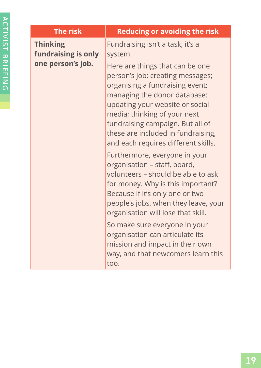| <b>The risk</b>                                             | <b>Reducing or avoiding the risk</b>                                                                                                                                                                                                                                                                                                                                                                                                                                                                                                                                                                                                                                                                                                                                                        |
|-------------------------------------------------------------|---------------------------------------------------------------------------------------------------------------------------------------------------------------------------------------------------------------------------------------------------------------------------------------------------------------------------------------------------------------------------------------------------------------------------------------------------------------------------------------------------------------------------------------------------------------------------------------------------------------------------------------------------------------------------------------------------------------------------------------------------------------------------------------------|
| <b>Thinking</b><br>fundraising is only<br>one person's job. | Fundraising isn't a task, it's a<br>system.<br>Here are things that can be one<br>person's job: creating messages;<br>organising a fundraising event;<br>managing the donor database;<br>updating your website or social<br>media; thinking of your next<br>fundraising campaign. But all of<br>these are included in fundraising,<br>and each requires different skills.<br>Furthermore, everyone in your<br>organisation – staff, board,<br>volunteers – should be able to ask<br>for money. Why is this important?<br>Because if it's only one or two<br>people's jobs, when they leave, your<br>organisation will lose that skill.<br>So make sure everyone in your<br>organisation can articulate its<br>mission and impact in their own<br>way, and that newcomers learn this<br>too. |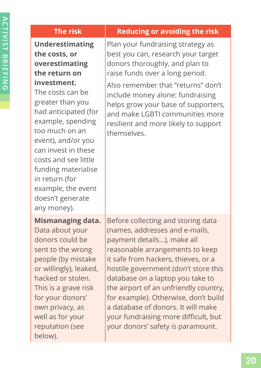| <b>The risk</b>                                                                                                                                                                                                                                                                                                                                                         | <b>Reducing or avoiding the risk</b>                                                                                                                                                                                                                                                                                                                                                                                                                         |
|-------------------------------------------------------------------------------------------------------------------------------------------------------------------------------------------------------------------------------------------------------------------------------------------------------------------------------------------------------------------------|--------------------------------------------------------------------------------------------------------------------------------------------------------------------------------------------------------------------------------------------------------------------------------------------------------------------------------------------------------------------------------------------------------------------------------------------------------------|
| <b>Underestimating</b><br>the costs, or<br>overestimating<br>the return on<br>investment.<br>The costs can be<br>greater than you<br>had anticipated (for<br>example, spending<br>too much on an<br>event), and/or you<br>can invest in these<br>costs and see little<br>funding materialise<br>in return (for<br>example, the event<br>doesn't generate<br>any money). | Plan your fundraising strategy as<br>best you can, research your target<br>donors thoroughly, and plan to<br>raise funds over a long period.<br>Also remember that "returns" don't<br>include money alone: fundraising<br>helps grow your base of supporters,<br>and make LGBTI communities more<br>resilient and more likely to support<br>themselves.                                                                                                      |
| <b>Mismanaging data.</b><br>Data about your<br>donors could be<br>sent to the wrong<br>people (by mistake<br>or willingly), leaked,<br>hacked or stolen.<br>This is a grave risk<br>for your donors'<br>own privacy, as<br>well as for your<br>reputation (see<br>below).                                                                                               | Before collecting and storing data<br>(names, addresses and e-mails,<br>payment details), make all<br>reasonable arrangements to keep<br>it safe from hackers, thieves, or a<br>hostile government (don't store this<br>database on a laptop you take to<br>the airport of an unfriendly country,<br>for example). Otherwise, don't build<br>a database of donors. It will make<br>your fundraising more difficult, but<br>your donors' safety is paramount. |
|                                                                                                                                                                                                                                                                                                                                                                         |                                                                                                                                                                                                                                                                                                                                                                                                                                                              |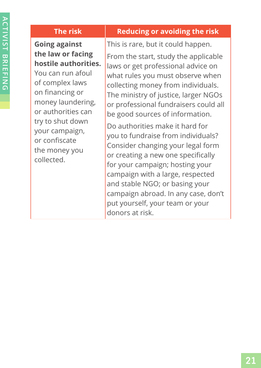# **Going against the law or facing hostile authorities.**

You can run afoul of complex laws on financing or money laundering, or authorities can try to shut down your campaign, or confiscate the money you collected.

#### **The risk Reducing or avoiding the risk**

This is rare, but it could happen. From the start, study the applicable laws or get professional advice on what rules you must observe when collecting money from individuals. The ministry of justice, larger NGOs or professional fundraisers could all be good sources of information.

Do authorities make it hard for you to fundraise from individuals? Consider changing your legal form or creating a new one specifically for your campaign; hosting your campaign with a large, respected and stable NGO; or basing your campaign abroad. In any case, don't put yourself, your team or your donors at risk.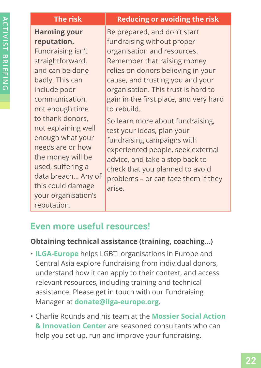| <b>The risk</b>     | <b>Reducing or avoiding the risk</b>   |
|---------------------|----------------------------------------|
| <b>Harming your</b> | Be prepared, and don't start           |
| reputation.         | fundraising without proper             |
| Fundraising isn't   | organisation and resources.            |
| straightforward,    | Remember that raising money            |
| and can be done     | relies on donors believing in your     |
| badly. This can     | cause, and trusting you and your       |
| include poor        | organisation. This trust is hard to    |
| communication,      | gain in the first place, and very hard |
| not enough time     | to rebuild.                            |
| to thank donors,    | So learn more about fundraising,       |
| not explaining well | test your ideas, plan your             |
| enough what your    | fundraising campaigns with             |
| needs are or how    | experienced people, seek external      |
| the money will be   | advice, and take a step back to        |
| used, suffering a   | check that you planned to avoid        |
| data breach Any of  | problems - or can face them if they    |
| this could damage   | arica                                  |

# **Even more useful resources!**

your organisation's

reputation.

**ACTIVIST BRIEFING ACTIVIST BRIEFING**

#### **Obtaining technical assistance (training, coaching…)**

arise.

- **ILGA-Europe** helps LGBTI organisations in Europe and Central Asia explore fundraising from individual donors, understand how it can apply to their context, and access relevant resources, including training and technical assistance. Please get in touch with our Fundraising Manager at **donate@ilga-europe.org**.
- Charlie Rounds and his team at the **Mossier Social Action & Innovation Center** are seasoned consultants who can help you set up, run and improve your fundraising.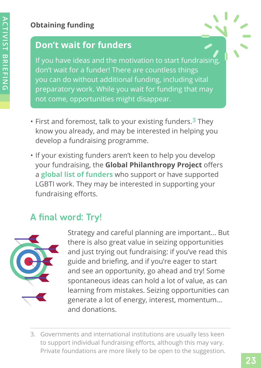# **Obtaining funding**

# **Don't wait for funders**

If you have ideas and the motivation to start fundraising, don't wait for a funder! There are countless things you can do without additional funding, including vital preparatory work. While you wait for funding that may not come, opportunities might disappear.

- First and foremost, talk to your existing funders.**3** They know you already, and may be interested in helping you develop a fundraising programme.
- If your existing funders aren't keen to help you develop your fundraising, the **Global Philanthropy Project** offers a **global list of funders** who support or have supported LGBTI work. They may be interested in supporting your fundraising efforts.

# **A final word: Try!**



Strategy and careful planning are important… But there is also great value in seizing opportunities and just trying out fundraising: if you've read this guide and briefing, and if you're eager to start and see an opportunity, go ahead and try! Some spontaneous ideas can hold a lot of value, as can learning from mistakes. Seizing opportunities can generate a lot of energy, interest, momentum… and donations.

3. Governments and international institutions are usually less keen to support individual fundraising efforts, although this may vary. Private foundations are more likely to be open to the suggestion.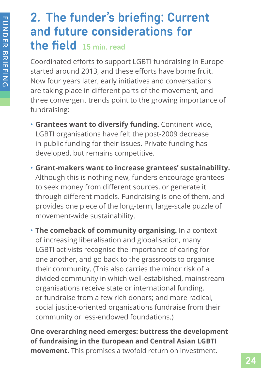# <span id="page-26-0"></span>**2. The funder's briefing: Current and future considerations for the field 15 min. read**

Coordinated efforts to support LGBTI fundraising in Europe started around 2013, and these efforts have borne fruit. Now four years later, early initiatives and conversations are taking place in different parts of the movement, and three convergent trends point to the growing importance of fundraising:

- **Grantees want to diversify funding.** Continent-wide, LGBTI organisations have felt the post-2009 decrease in public funding for their issues. Private funding has developed, but remains competitive.
- **Grant-makers want to increase grantees' sustainability.** Although this is nothing new, funders encourage grantees to seek money from different sources, or generate it through different models. Fundraising is one of them, and provides one piece of the long-term, large-scale puzzle of movement-wide sustainability.

• **The comeback of community organising.** In a context of increasing liberalisation and globalisation, many LGBTI activists recognise the importance of caring for one another, and go back to the grassroots to organise their community. (This also carries the minor risk of a divided community in which well-established, mainstream organisations receive state or international funding, or fundraise from a few rich donors; and more radical, social justice-oriented organisations fundraise from their community or less-endowed foundations.)

**One overarching need emerges: buttress the development of fundraising in the European and Central Asian LGBTI movement.** This promises a twofold return on investment.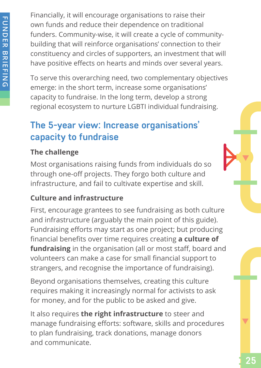<span id="page-27-0"></span>Financially, it will encourage organisations to raise their own funds and reduce their dependence on traditional funders. Community-wise, it will create a cycle of communitybuilding that will reinforce organisations' connection to their constituency and circles of supporters, an investment that will have positive effects on hearts and minds over several years.

To serve this overarching need, two complementary objectives emerge: in the short term, increase some organisations' capacity to fundraise. In the long term, develop a strong regional ecosystem to nurture LGBTI individual fundraising.

# **The 5-year view: Increase organisations' capacity to fundraise**

# **The challenge**

Most organisations raising funds from individuals do so through one-off projects. They forgo both culture and infrastructure, and fail to cultivate expertise and skill.

# **Culture and infrastructure**

First, encourage grantees to see fundraising as both culture and infrastructure (arguably the main point of this guide). Fundraising efforts may start as one project; but producing financial benefits over time requires creating **a culture of fundraising** in the organisation (all or most staff, board and volunteers can make a case for small financial support to strangers, and recognise the importance of fundraising).

Beyond organisations themselves, creating this culture requires making it increasingly normal for activists to ask for money, and for the public to be asked and give.

It also requires **the right infrastructure** to steer and manage fundraising efforts: software, skills and procedures to plan fundraising, track donations, manage donors and communicate.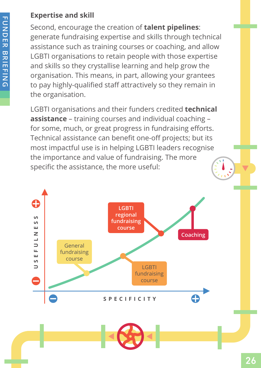# **Expertise and skill**

Second, encourage the creation of **talent pipelines**: generate fundraising expertise and skills through technical assistance such as training courses or coaching, and allow LGBTI organisations to retain people with those expertise and skills so they crystallise learning and help grow the organisation. This means, in part, allowing your grantees to pay highly-qualified staff attractively so they remain in the organisation.

LGBTI organisations and their funders credited **technical assistance** – training courses and individual coaching – for some, much, or great progress in fundraising efforts. Technical assistance can benefit one-off projects; but its most impactful use is in helping LGBTI leaders recognise the importance and value of fundraising. The more specific the assistance, the more useful:

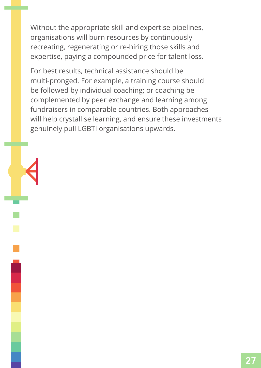Without the appropriate skill and expertise pipelines, organisations will burn resources by continuously recreating, regenerating or re‑hiring those skills and expertise, paying a compounded price for talent loss.

For best results, technical assistance should be multi‑pronged. For example, a training course should be followed by individual coaching; or coaching be complemented by peer exchange and learning among fundraisers in comparable countries. Both approaches will help crystallise learning, and ensure these investments genuinely pull LGBTI organisations upwards.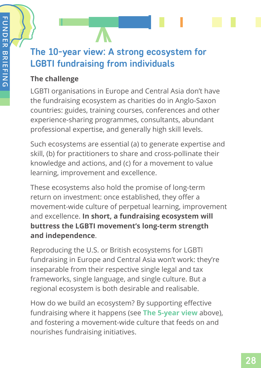# <span id="page-30-0"></span>**The 10-year view: A strong ecosystem for LGBTI fundraising from individuals**

# **The challenge**

LGBTI organisations in Europe and Central Asia don't have the fundraising ecosystem as charities do in Anglo-Saxon countries: guides, training courses, conferences and other experience-sharing programmes, consultants, abundant professional expertise, and generally high skill levels.

Such ecosystems are essential (a) to generate expertise and skill, (b) for practitioners to share and cross-pollinate their knowledge and actions, and (c) for a movement to value learning, improvement and excellence.

These ecosystems also hold the promise of long-term return on investment: once established, they offer a movement-wide culture of perpetual learning, improvement and excellence. **In short, a fundraising ecosystem will buttress the LGBTI movement's long-term strength and independence**.

Reproducing the U.S. or British ecosystems for LGBTI fundraising in Europe and Central Asia won't work: they're inseparable from their respective single legal and tax frameworks, single language, and single culture. But a regional ecosystem is both desirable and realisable.

How do we build an ecosystem? By supporting effective fundraising where it happens (see **The 5-year view** above), and fostering a movement-wide culture that feeds on and nourishes fundraising initiatives.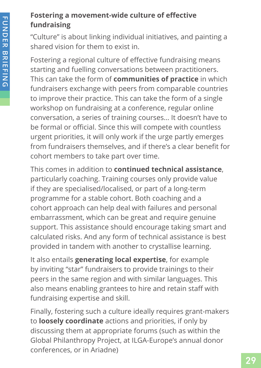# **Fostering a movement-wide culture of effective fundraising**

"Culture" is about linking individual initiatives, and painting a shared vision for them to exist in.

Fostering a regional culture of effective fundraising means starting and fuelling conversations between practitioners. This can take the form of **communities of practice** in which fundraisers exchange with peers from comparable countries to improve their practice. This can take the form of a single workshop on fundraising at a conference, regular online conversation, a series of training courses… It doesn't have to be formal or official. Since this will compete with countless urgent priorities, it will only work if the urge partly emerges from fundraisers themselves, and if there's a clear benefit for cohort members to take part over time.

This comes in addition to **continued technical assistance**, particularly coaching. Training courses only provide value if they are specialised/localised, or part of a long-term programme for a stable cohort. Both coaching and a cohort approach can help deal with failures and personal embarrassment, which can be great and require genuine support. This assistance should encourage taking smart and calculated risks. And any form of technical assistance is best provided in tandem with another to crystallise learning.

It also entails **generating local expertise**, for example by inviting "star" fundraisers to provide trainings to their peers in the same region and with similar languages. This also means enabling grantees to hire and retain staff with fundraising expertise and skill.

Finally, fostering such a culture ideally requires grant-makers to **loosely coordinate** actions and priorities, if only by discussing them at appropriate forums (such as within the Global Philanthropy Project, at ILGA-Europe's annual donor conferences, or in Ariadne)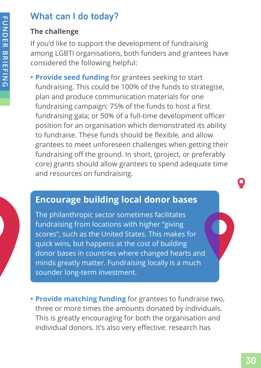# <span id="page-32-0"></span>**What can I do today?**

# **The challenge**

If you'd like to support the development of fundraising among LGBTI organisations, both funders and grantees have considered the following helpful:

**• Provide seed funding** for grantees seeking to start fundraising. This could be 100% of the funds to strategise, plan and produce communication materials for one fundraising campaign; 75% of the funds to host a first fundraising gala; or 50% of a full-time development officer position for an organisation which demonstrated its ability to fundraise. These funds should be flexible, and allow grantees to meet unforeseen challenges when getting their fundraising off the ground. In short, (project, or preferably core) grants should allow grantees to spend adequate time and resources on fundraising.

# **Encourage building local donor bases**

The philanthropic sector sometimes facilitates fundraising from locations with higher "giving scores", such as the United States. This makes for quick wins, but happens at the cost of building donor bases in countries where changed hearts and minds greatly matter. Fundraising locally is a much sounder long-term investment.

**• Provide matching funding** for grantees to fundraise two, three or more times the amounts donated by individuals. This is greatly encouraging for both the organisation and individual donors. It's also very effective: research has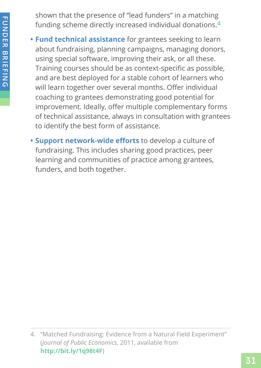shown that the presence of "lead funders" in a matching funding scheme directly increased individual donations.**4**

- **Fund technical assistance** for grantees seeking to learn about fundraising, planning campaigns, managing donors, using special software, improving their ask, or all these. Training courses should be as context-specific as possible, and are best deployed for a stable cohort of learners who will learn together over several months. Offer individual coaching to grantees demonstrating good potential for improvement. Ideally, offer multiple complementary forms of technical assistance, always in consultation with grantees to identify the best form of assistance.
- **• Support network-wide efforts** to develop a culture of fundraising. This includes sharing good practices, peer learning and communities of practice among grantees, funders, and both together.

<sup>4.</sup> "Matched Fundraising: Evidence from a Natural Field Experiment" (*Journal of Public Economics*, 2011, available from **http://bit.ly/1q98t4F**)